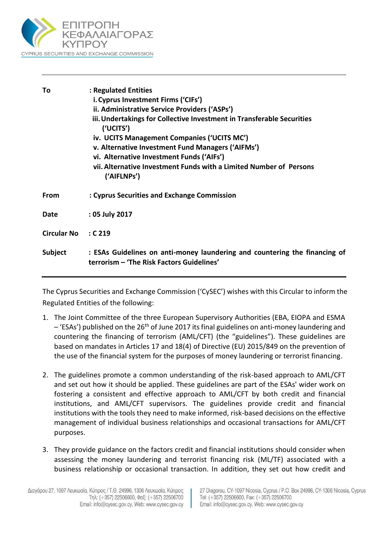

| Тο                 | : Regulated Entities<br>i. Cyprus Investment Firms ('CIFs')<br>ii. Administrative Service Providers ('ASPs')<br>iii. Undertakings for Collective Investment in Transferable Securities<br>('UCITS')<br>iv. UCITS Management Companies ('UCITS MC')<br>v. Alternative Investment Fund Managers ('AIFMs')<br>vi. Alternative Investment Funds ('AIFs')<br>vii. Alternative Investment Funds with a Limited Number of Persons<br>('AIFLNPs') |
|--------------------|-------------------------------------------------------------------------------------------------------------------------------------------------------------------------------------------------------------------------------------------------------------------------------------------------------------------------------------------------------------------------------------------------------------------------------------------|
| <b>From</b>        | : Cyprus Securities and Exchange Commission                                                                                                                                                                                                                                                                                                                                                                                               |
| <b>Date</b>        | : 05 July 2017                                                                                                                                                                                                                                                                                                                                                                                                                            |
| <b>Circular No</b> | $\cdot$ C 219                                                                                                                                                                                                                                                                                                                                                                                                                             |
| Subject            | : ESAs Guidelines on anti-money laundering and countering the financing of<br>terrorism - 'The Risk Factors Guidelines'                                                                                                                                                                                                                                                                                                                   |

The Cyprus Securities and Exchange Commission ('CySEC') wishes with this Circular to inform the Regulated Entities of the following:

- 1. The Joint Committee of the three European Supervisory Authorities (EBA, EIOPA and ESMA  $-$  'ESAs') published on the 26<sup>th</sup> of June 2017 its final guidelines on anti-money laundering and countering the financing of terrorism (AML/CFT) (the "guidelines"). These guidelines are based on mandates in Articles 17 and 18(4) of Directive (EU) 2015/849 on the prevention of the use of the financial system for the purposes of money laundering or terrorist financing.
- 2. The guidelines promote a common understanding of the risk-based approach to AML/CFT and set out how it should be applied. These guidelines are part of the ESAs' wider work on fostering a consistent and effective approach to AML/CFT by both credit and financial institutions, and AML/CFT supervisors. The guidelines provide credit and financial institutions with the tools they need to make informed, risk-based decisions on the effective management of individual business relationships and occasional transactions for AML/CFT purposes.
- 3. They provide guidance on the factors credit and financial institutions should consider when assessing the money laundering and terrorist financing risk (ML/TF) associated with a business relationship or occasional transaction. In addition, they set out how credit and